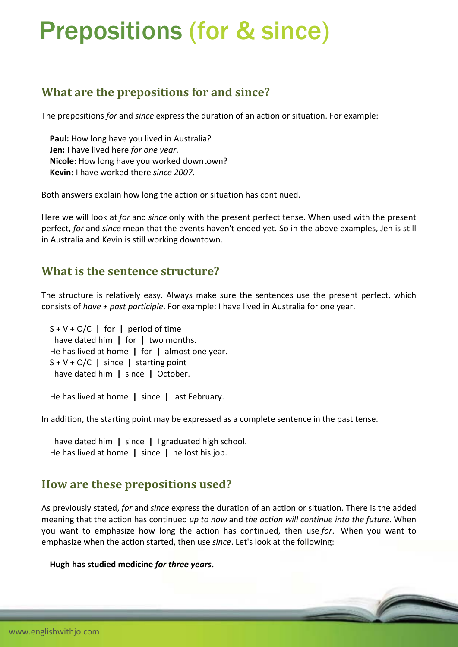# Prepositions (for & since)

# **What are the prepositions for and since?**

The prepositions *for* and *since* express the duration of an action or situation. For example:

 **Paul:** How long have you lived in Australia? **Jen:** I have lived here *for one year*. **Nicole:** How long have you worked downtown? **Kevin:** I have worked there *since 2007*.

Both answers explain how long the action or situation has continued.

Here we will look at *for* and *since* only with the present perfect tense. When used with the present perfect, *for* and *since* mean that the events haven't ended yet. So in the above examples, Jen is still in Australia and Kevin is still working downtown.

### **What is the sentence structure?**

The structure is relatively easy. Always make sure the sentences use the present perfect, which consists of *have + past participle*. For example: I have lived in Australia for one year.

 S + V + O/C **|** for **|** period of time I have dated him **|** for **|** two months. He has lived at home **|** for **|** almost one year. S + V + O/C **|** since **|** starting point I have dated him **|** since **|** October.

He has lived at home **|** since **|** last February.

In addition, the starting point may be expressed as a complete sentence in the past tense.

 I have dated him **|** since **|** I graduated high school. He has lived at home **|** since **|** he lost his job.

## **How are these prepositions used?**

As previously stated, *for* and *since* express the duration of an action or situation. There is the added meaning that the action has continued *up to now* and *the action will continue into the future*. When you want to emphasize how long the action has continued, then use *for*. When you want to emphasize when the action started, then use *since*. Let's look at the following:

#### **Hugh has studied medicine** *for three years***.**